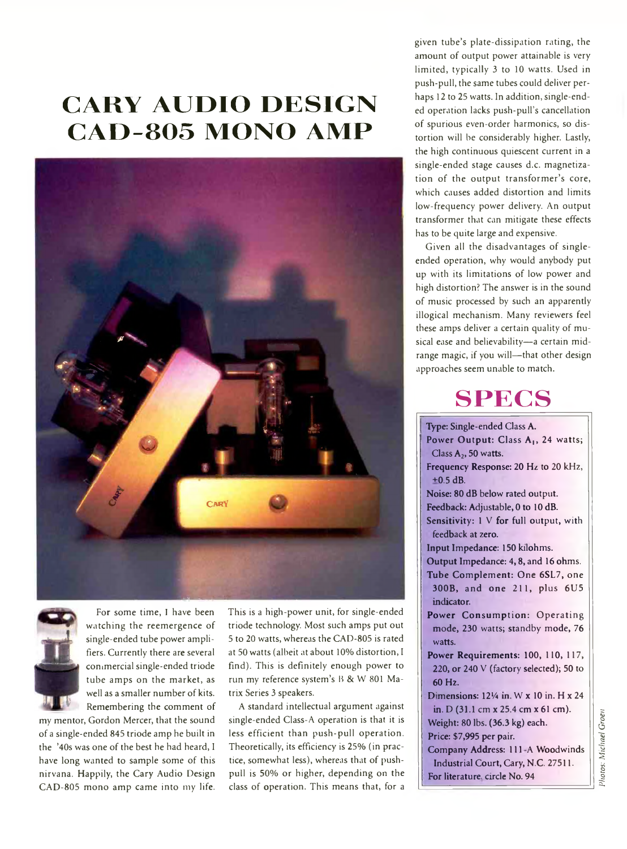# **CARY AUDIO DESIGN CAD-805 MONO AMP**





For some time, I have been watching the reemergence of single-ended tube power amplifiers. Currently there are several commercial single-ended triode tube amps on the market, as well as a smaller number of kits. Remembering the comment of

my mentor, Gordon Mercer, that the sound of a single-ended 845 triode amp he built in the '40s was one of the best he had heard, 1 have long wanted to sample some of this nirvana. Happily, the Cary Audio Design CAD-805 mono amp came into my life.

This is a high-power unit, for single-ended triode technology. Most such amps put out 5 to 20 watts, whereas the CAD-805 is rated at 50 watts (albeit at about 10% distortion, I find). This is definitely enough power to run my reference system's B & W 801 Matrix Series 3 speakers.

A standard intellectual argument against single-ended Class-A operation is that it is less efficient than push-pull operation. Theoretically, its efficiency is 25% (in practice, somewhat less), whereas that of pushpull is 50% or higher, depending on the class of operation. This means that, for a given tube's plate-dissipation rating, the amount of output power attainable is very limited, typically 3 to 10 watts. Used in push-pull, the same tubes could deliver perhaps 12 to 25 watts. In addition, single-ended operation lacks push-pull's cancellation of spurious even-order harmonics, so distortion will be considerably higher. Lastly, the high continuous quiescent current in a single-ended stage causes d.c. magnetization of the output transformer's core, which causes added distortion and limits low-frequency power delivery. An output transformer that can mitigate these effects has to be quite large and expensive.

Given all the disadvantages of singleended operation, why would anybody put up with its limitations of low power and high distortion? The answer is in the sound of music processed by such an apparently illogical mechanism. Many reviewers feel these amps deliver a certain quality of musical ease and believability— a certain midrange magic, if you will— that other design approaches seem unable to match.

## **S P E C S**

| Type: Single-ended Class A.                           |
|-------------------------------------------------------|
| Power Output: Class A <sub>1</sub> , 24 watts;        |
| Class $A_2$ , 50 watts.                               |
| Frequency Response: 20 Hz to 20 kHz,<br>$\pm 0.5$ dB. |
| Noise: 80 dB below rated output.                      |
| Feedback: Adjustable, 0 to 10 dB.                     |
| Sensitivity: 1 V for full output, with                |
| feedback at zero.                                     |
| Input Impedance: 150 kilohms.                         |
| Output Impedance: 4, 8, and 16 ohms.                  |
| Tube Complement: One 6SL7, one                        |
| 300B, and one 211, plus 6U5                           |
| indicator.                                            |
| Power Consumption: Operating                          |
| mode, 230 watts; standby mode, 76                     |
| watts.                                                |
| Power Requirements: 100, 110, 117,                    |
| 220, or 240 V (factory selected); 50 to               |
| 60 Hz.                                                |
| Dimensions: $12\frac{1}{4}$ in. W x 10 in. H x 24     |
| in. D (31.1 cm x 25.4 cm x 61 cm).                    |
| Weight: 80 lbs. (36.3 kg) each.                       |
| Price: \$7,995 per pair.                              |
| Company Address: 111-A Woodwinds                      |
| Industrial Court, Cary, N.C. 27511.                   |
| For literature, circle No. 94                         |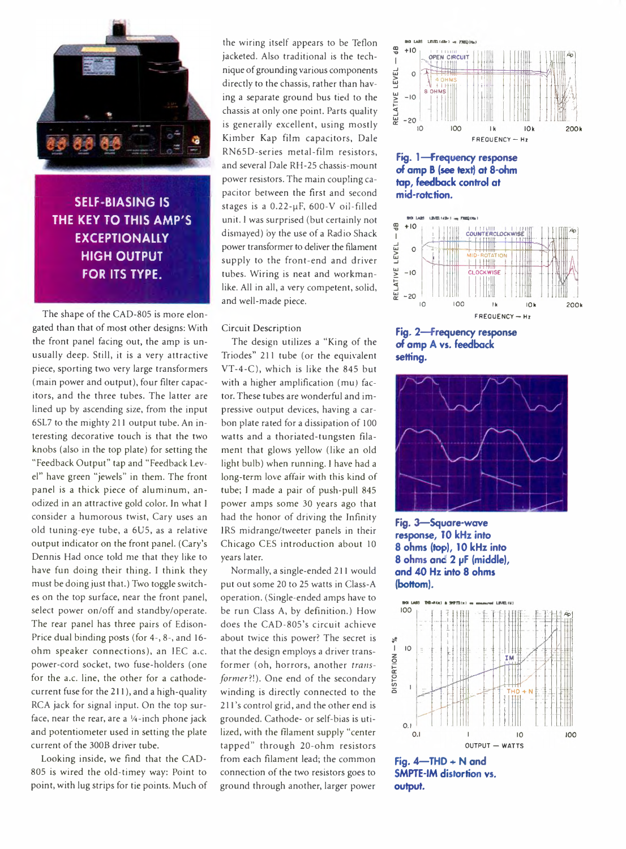

**SELF BIASING IS THE KEY TO THIS AMP'S EXCEPTIONALLY HIGH OUTPUT FOR ITS TYPE.**

The shape of the CAD-805 is more elongated than that of most other designs: With the front panel facing out, the amp is unusually deep. Still, it is a very attractive piece, sporting two very large transformers (main power and output), four filter capacitors, and the three tubes. The latter are lined up by ascending size, from the input 6SL7 to the mighty 211 output tube. An interesting decorative touch is that the two knobs (also in the top plate) for setting the "Feedback Output" tap and "Feedback Level" have green "jewels" in them. The front panel is a thick piece of aluminum, anodized in an attractive gold color. In what I consider a humorous twist, Cary uses an old tuning-eye tube, a 6U5, as a relative output indicator on the front panel. (Cary's Dennis Had once told me that they like to have fun doing their thing. I think they must be doing just that.) Two toggle switches on the top surface, near the front panel, select power on/off and standby/operate. The rear panel has three pairs of Edison-Price dual binding posts (for 4-, 8-, and 16 ohm speaker connections), an IEC a.c. power-cord socket, two fuse-holders (one for the a.c. line, the other for a cathodecurrent fuse for the 211), and a high-quality RCA jack for signal input. On the top surface, near the rear, are a '/4-inch phone jack and potentiometer used in setting the plate current of the 300B driver tube.

Looking inside, we find that the CAD-805 is wired the old-timey way: Point to point, with lug strips for tie points. Much of

the wiring itself appears to be Teflon jacketed. Also traditional is the technique of grounding various components directly to the chassis, rather than having a separate ground bus tied to the chassis at only one point. Parts quality is generally excellent, using mostly Kimber Kap film capacitors, Dale RN65D-series metal-film resistors, and several Dale RH-25 chassis-mount power resistors. The main coupling capacitor between the first and second stages is a  $0.22-\mu$ F, 600-V oil-filled unit. I was surprised (but certainly not dismayed) by the use of a Radio Shack power transformer to deliver the filament supply to the front-end and driver tubes. Wiring is neat and workmanlike. All in all, a very competent, solid, and well-made piece.

Circuit Description

The design utilizes a "King of the Triodes" 211 tube (or the equivalent VT-4-C), which is like the 845 but with a higher amplification (mu) factor. These tubes are wonderful and impressive output devices, having a carbon plate rated for a dissipation of 100 watts and a thoriated-tungsten filament that glows yellow (like an old light bulb) when running. I have had a long-term love affair with this kind of tube; I made a pair of push-pull 845 power amps some 30 years ago that had the honor of driving the Infinity IRS midrange/tweeter panels in their Chicago CES introduction about 10 years later.

Normally, a single-ended 211 would put out some 20 to 25 watts in Class-A operation. (Single-ended amps have to be run Class A, by definition.) How does the CAD-805's circuit achieve about twice this power? The secret is that the design employs a driver transformer (oh, horrors, another *transformer?'.).* One end of the secondary winding is directly connected to the 211's control grid, and the other end is grounded. Cathode- or self-bias is utilized, with the filament supply "center tapped" through 20-ohm resistors from each filament lead; the common connection of the two resistors goes to ground through another, larger power







**Fig. 2— Frequency response of amp A vs. feedback setting.**



**Fig. 3— Square-wave response, TO kHz into 8 ohms (top), 10 kHz into 8 ohms and 2 pF (middle), and AO Hz into 8 ohms (bottom).**



**output.**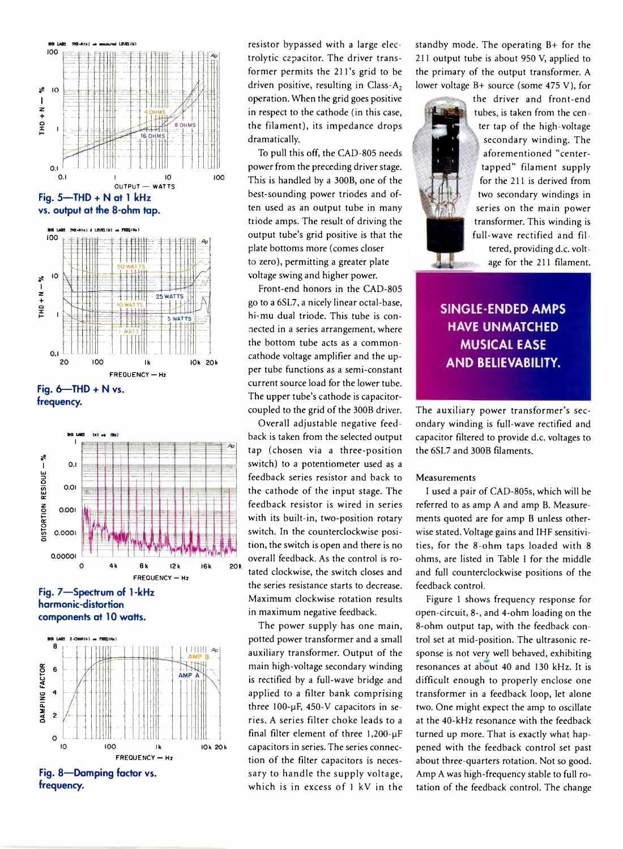

**Fig. 6— THD + N vs. frequency.**



**Fig. 7— Spectrum of 1 -kHz harmonic-distortion components at 10 watts.**



resistor bypassed with a large electrolytic capacitor. The driver transformer permits the 211's grid to be driven positive, resulting in Class- $A_2$ operation. When the grid goes positive in respect to the cathode (in this case, the filament), its impedance drops dramatically.

To pull this off, the CAD-805 needs power from the preceding driver stage. This is handled by a 300B, one of the best-sounding power triodes and often used as an output tube in many tiiode amps. The result of driving the output tube's grid positive is that the plate bottoms more (comes closer to zero), permitting a greater plate voltage swing and higher power.

Front-end honors in the CAD-805 go to a 6SL7, a nicely linear octal-base, hi-mu dual triode. This tube is connected in a series arrangement, where the bottom tube acts as a commoncathode voltage amplifier and the upper tube functions as a semi-constant current source load for the lower tube. The upper tube's cathode is capacitorcoupled to the grid of the 300B driver.

Overall adjustable negative feedback is taken from the selected output tap (chosen via a three-position switch) to a potentiometer used as a feedback series resistor and back to the cathode of the input stage. The feedback resistor is wired in series with its built-in, two-position rotary switch. In the counterclockwise position, the switch is open and there is no overall feedback. As the control is rotated clockwise, the switch closes and the series resistance starts to decrease. Maximum clockwise rotation results in maximum negative feedback.

The power supply has one main, potted power transformer and a small auxiliary transformer. Output of the main high-voltage secondary winding is rectified by a full-wave bridge and applied to a filter bank comprising three  $100$ - $\mu$ F, 450-V capacitors in series. A series filter choke leads to a final filter element of three  $1,200$ -uF capacitors in series. The series connection of the filter capacitors is necessary to handle the supply voltage, which is in excess of 1 kV in the

standby mode. The operating B+ for the 211 output tube is about 950 V, applied to the primary of the output transformer. A lower voltage B+ source (some 475 V), for



the driver and front-end tubes, is taken from the center tap of the high-voltage secondary winding. The aforementioned "centertapped" filament supply for the 211 is derived from two secondary windings in series on the main power transformer. This winding is full-wave rectified and filtered, providing d.c. voltage for the 211 filament.

## **SINGLE-ENDED AMPS HAVE UNMATCHED MUSICAL EASE AND BELIEVABILITY.**

The auxiliary power transformer's secondary winding is full-wave rectified and capacitor filtered to provide d.c. voltages to the 6SL7 and 300B filaments.

### Measurements

I used a pair of CAD-805s, which will be referred to as amp A and amp B. Measurements quoted are for amp B unless otherwise stated. Voltage gains and IHF sensitivities, for the 8-ohm taps loaded with 8 ohms, are listed in Table I for the middle and full counterclockwise positions of the feedback control.

Figure 1 shows frequency response for open-circuit, 8-, and 4-ohm loading on the 8-ohm output tap, with the feedback control set at mid-position. The ultrasonic response is not very well behaved, exhibiting resonances at about 40 and 130 kHz. It is difficult enough to properly enclose one transformer in a feedback loop, let alone two. One might expect the amp to oscillate at the 40-kHz resonance with the feedback turned up more. That is exactly what happened with the feedback control set past about three-quarters rotation. Not so good. Amp A was high-frequency stable to full rotation of the feedback control. The change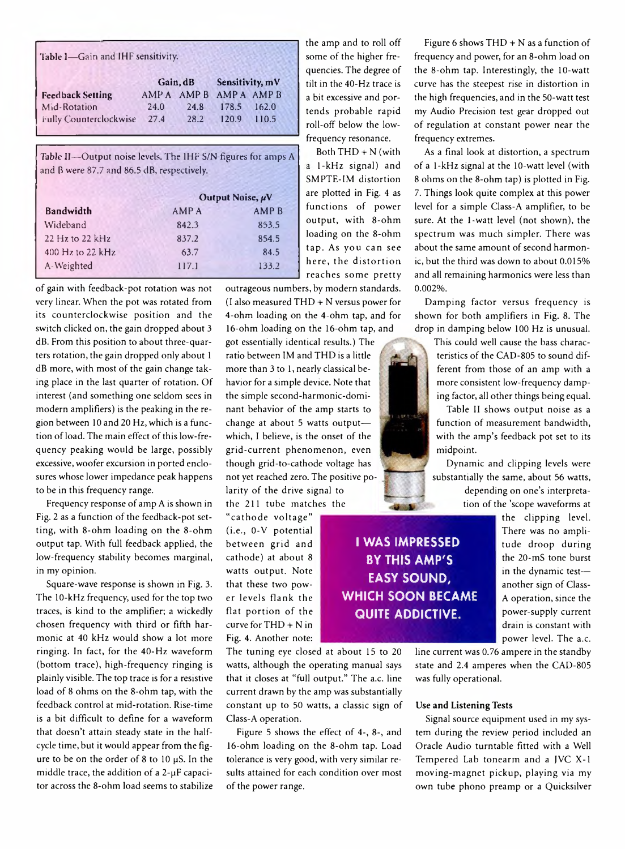| Table 1-Gain and IHF sensitivity. |          |                         |                 |       |  |
|-----------------------------------|----------|-------------------------|-----------------|-------|--|
|                                   | Gain, dB |                         | Sensitivity, mV |       |  |
| <b>Feedback Setting</b>           |          | AMP A AMP B AMP A AMP B |                 |       |  |
| Mid-Rotation                      | 24.0     | 24.8                    | 178.5           | 162.0 |  |
| <b>Fully Counterclockwise</b>     | 27.4     | 28.2                    | 120.9           | 110.5 |  |

**Table II— Output noise levels. The IHF S/N figures for amps A** and **B were 87.7 and 86.5 dB, respectively.**

|                     | Output Noise, µV |              |  |
|---------------------|------------------|--------------|--|
| Bandwidth           | <b>AMPA</b>      | <b>AMP B</b> |  |
| Wideband            | 842.3            | 853.5        |  |
| $22$ Hz to $22$ kHz | 837.2            | 854.5        |  |
| 400 Hz to 22 kHz    | 63.7             | 84.5         |  |
| A-Weighted          | 117.1            | 133.2        |  |

of gain with feedback-pot rotation was not very linear. When the pot was rotated from its counterclockwise position and the switch clicked on, the gain dropped about 3 dB. From this position to about three-quarters rotation, the gain dropped only about 1 dB more, with most of the gain change taking place in the last quarter of rotation. Of interest (and something one seldom sees in modern amplifiers) is the peaking in the region between 10 and 20 Hz, which is a function of load. The main effect of this low-frequency peaking would be large, possibly excessive, woofer excursion in ported enclosures whose lower impedance peak happens to be in this frequency range.

Frequency response of amp A is shown in Fig. 2 as a function of the feedback-pot setting, with 8-ohm loading on the 8-ohm output tap. With full feedback applied, the low-frequency stability becomes marginal, in my opinion.

Square-wave response is shown in Fig. 3. The 10-kHz frequency, used for the top two traces, is kind to the amplifier; a wickedly chosen frequency with third or fifth harmonic at 40 kHz would show a lot more ringing. In fact, for the 40-Hz waveform (bottom trace), high-frequency ringing is plainly visible. The top trace is for a resistive load of 8 ohms on the 8-ohm tap, with the feedback control at mid-rotation. Rise-time is a bit difficult to define for a waveform that doesn't attain steady state in the halfcycle time, but it would appear from the figure to be on the order of 8 to 10  $\mu$ S. In the middle trace, the addition of a  $2-\mu F$  capacitor across the 8-ohm load seems to stabilize the amp and to roll off some of the higher frequencies. The degree of tilt in the 40-Hz trace is a bit excessive and portends probable rapid roll-off below the lowfrequency resonance.

Both  $THD + N$  (with 1-kHz signal) and SMPTE-IM distortion are plotted in Fig. 4 as functions of power output, with 8-ohm loading on the 8-ohm tap. As you can see here, the distortion reaches some pretty

outrageous numbers, by modern standards. (I also measured THD  $+$  N versus power for 4-ohm loading on the 4-ohm tap, and for 16-ohm loading on the 16-ohm tap, and

got essentially identical results.) The ratio between IM and THD is a little more than 3 to 1, nearly classical behavior for a simple device. Note that the simple second-harmonic-dominant behavior of the amp starts to change at about 5 watts output which, I believe, is the onset of the grid-current phenomenon, even though grid-to-cathode voltage has not yet reached zero. The positive polarity of the drive signal to the 211 tube matches the

"cathode voltage" (i.e., 0-V potential between grid and cathode) at about 8 watts output. Note that these two power levels flank the flat portion of the curve for  $THD + N$  in Fig. 4. Another note:

The tuning eye closed at about 15 to 20 watts, although the operating manual says that it closes at "full output." The a.c. line current drawn by the amp was substantially constant up to 50 watts, a classic sign of Class-A operation.

Figure 5 shows the effect of 4-, 8-, and 16-ohm loading on the 8-ohm tap. Load tolerance is very good, with very similar results attained for each condition over most of the power range.

Figure 6 shows  $THD + N$  as a function of frequency and power, for an 8-ohm load on the 8-ohm tap. Interestingly, the 10-watt curve has the steepest rise in distortion in the high frequencies, and in the 50-watt test my Audio Precision test gear dropped out of regulation at constant power near the frequency extremes.

As a final look at distortion, a spectrum of a 1-kHz signal at the 10-watt level (with 8 ohms on the 8-ohm tap) is plotted in Fig. 7. Things look quite complex at this power level for a simple Class-A amplifier, to be sure. At the 1-watt level (not shown), the spectrum was much simpler. There was about the same amount of second harmonic, but the third was down to about 0.015% and all remaining harmonics were less than 0.002% .

Damping factor versus frequency is shown for both amplifiers in Fig. 8. The drop in damping below 100 Hz is unusual.

> This could well cause the bass characteristics of the CAD-805 to sound different from those of an amp with a more consistent low-frequency damping factor, all other things being equal.

Table II shows output noise as a function of measurement bandwidth, with the amp's feedback pot set to its midpoint.

Dynamic and clipping levels were substantially the same, about 56 watts, depending on one's interpretation of the 'scope waveforms at

> the clipping level. There was no amplitude droop during the 20-mS tone burst in the dynamic test another sign of Class-A operation, since the power-supply current drain is constant with power level. The a.c.

line current was 0.76 ampere in the standby state and 2.4 amperes when the CAD-805 was fully operational.

### **Use and Listening Tests**

Signal source equipment used in my system during the review period included an Oracle Audio turntable fitted with a Well Tempered Lab tonearm and a JVC X-1 moving-magnet pickup, playing via my own tube phono preamp or a Quicksilver

**I WAS IMPRESSED BY THIS AMP'S EASY SOUND, WHICH SOON BECAME QUITE ADDICTIVE.**